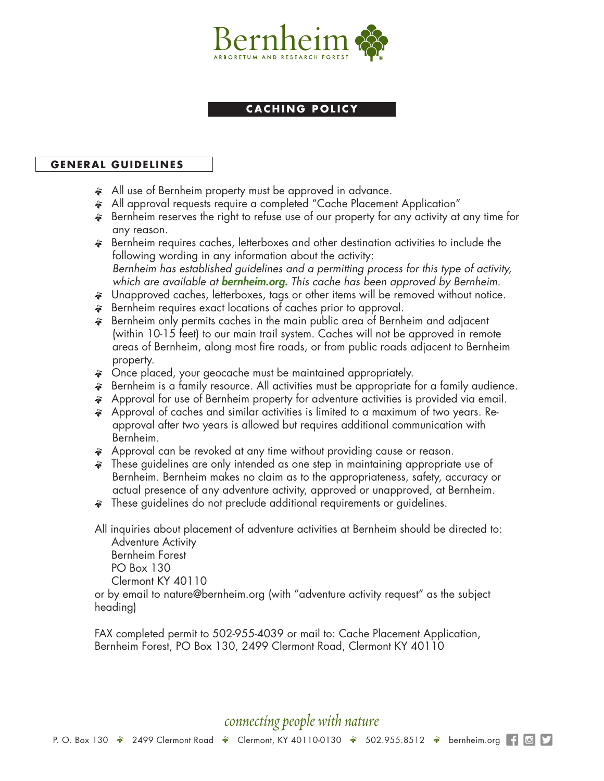

## **CACHING POLICY**

## **GENERAL GUIDELINES**

- All use of Bernheim property must be approved in advance.
- \* All approval requests require a completed "Cache Placement Application"
- ' Bernheim reserves the right to refuse use of our property for any activity at any time for any reason.
- $\hat{\boldsymbol{\cdot}}$  Bernheim requires caches, letterboxes and other destination activities to include the following wording in any information about the activity: *Bernheim has established guidelines and a permitting process for this type of activity, which are available at bernheim.org. This cache has been approved by Bernheim.*
- $\hat{\boldsymbol{\epsilon}}$  Unapproved caches, letterboxes, tags or other items will be removed without notice.
- **EXECUTE:** Bernheim requires exact locations of caches prior to approval.
- $\hat{\mathcal{F}}$  Bernheim only permits caches in the main public area of Bernheim and adjacent (within 10-15 feet) to our main trail system. Caches will not be approved in remote areas of Bernheim, along most fire roads, or from public roads adjacent to Bernheim property.
- Once placed, your geocache must be maintained appropriately.
- ' Bernheim is a family resource. All activities must be appropriate for a family audience.
- ' Approval for use of Bernheim property for adventure activities is provided via email.
- $\hat{\mathcal{F}}$  Approval of caches and similar activities is limited to a maximum of two years. Reapproval after two years is allowed but requires additional communication with Bernheim.
- Approval can be revoked at any time without providing cause or reason.
- ' These guidelines are only intended as one step in maintaining appropriate use of Bernheim. Bernheim makes no claim as to the appropriateness, safety, accuracy or actual presence of any adventure activity, approved or unapproved, at Bernheim.
- $\hat{\boldsymbol{\cdot}}$  These guidelines do not preclude additional requirements or guidelines.

All inquiries about placement of adventure activities at Bernheim should be directed to: Adventure Activity

Bernheim Forest PO Box 130 Clermont KY 40110

or by email to nature@bernheim.org (with "adventure activity request" as the subject heading)

FAX completed permit to 502-955-4039 or mail to: Cache Placement Application, Bernheim Forest, PO Box 130, 2499 Clermont Road, Clermont KY 40110

## *connecting people with nature*